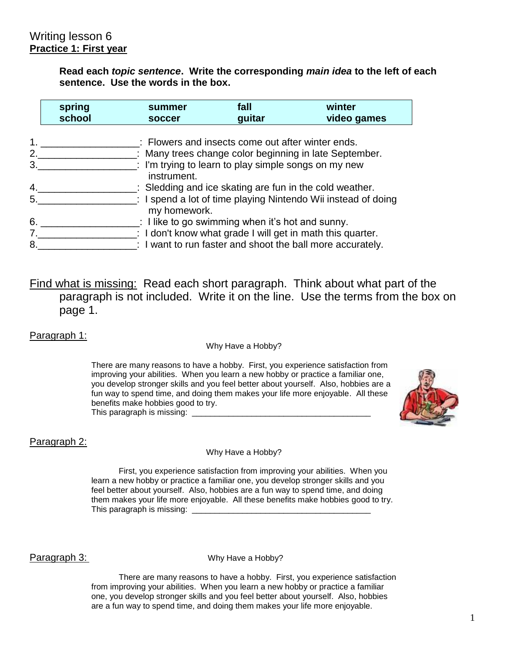**Read each** *topic sentence***. Write the corresponding** *main idea* **to the left of each sentence. Use the words in the box.**

|    | spring<br>school | summer<br>soccer | fall<br>guitar                                                  | winter<br>video games                                                 |
|----|------------------|------------------|-----------------------------------------------------------------|-----------------------------------------------------------------------|
|    |                  |                  | : Flowers and insects come out after winter ends.               |                                                                       |
| 2. |                  |                  |                                                                 | : Many trees change color beginning in late September.                |
| 3. |                  |                  | $\therefore$ I'm trying to learn to play simple songs on my new |                                                                       |
|    |                  | instrument.      |                                                                 |                                                                       |
| 4. |                  |                  |                                                                 | $\therefore$ Sledding and ice skating are fun in the cold weather.    |
| 5. |                  | my homework.     |                                                                 | : I spend a lot of time playing Nintendo Wii instead of doing         |
| 6. |                  |                  | : I like to go swimming when it's hot and sunny.                |                                                                       |
|    |                  |                  |                                                                 | $\therefore$ I don't know what grade I will get in math this quarter. |
| 8. |                  |                  |                                                                 | : I want to run faster and shoot the ball more accurately.            |

Find what is missing: Read each short paragraph. Think about what part of the paragraph is not included. Write it on the line. Use the terms from the box on page 1.

Paragraph 1:

Why Have a Hobby?

There are many reasons to have a hobby. First, you experience satisfaction from improving your abilities. When you learn a new hobby or practice a familiar one, you develop stronger skills and you feel better about yourself. Also, hobbies are a fun way to spend time, and doing them makes your life more enjoyable. All these benefits make hobbies good to try. This paragraph is missing: \_\_\_\_\_\_\_\_\_\_\_\_\_\_\_\_\_\_\_\_\_\_\_\_\_\_\_\_\_\_\_\_\_\_\_\_\_\_\_



#### Paragraph 2:

#### Why Have a Hobby?

First, you experience satisfaction from improving your abilities. When you learn a new hobby or practice a familiar one, you develop stronger skills and you feel better about yourself. Also, hobbies are a fun way to spend time, and doing them makes your life more enjoyable. All these benefits make hobbies good to try. This paragraph is missing:

**Paragraph 3:** Why Have a Hobby?

There are many reasons to have a hobby. First, you experience satisfaction from improving your abilities. When you learn a new hobby or practice a familiar one, you develop stronger skills and you feel better about yourself. Also, hobbies are a fun way to spend time, and doing them makes your life more enjoyable.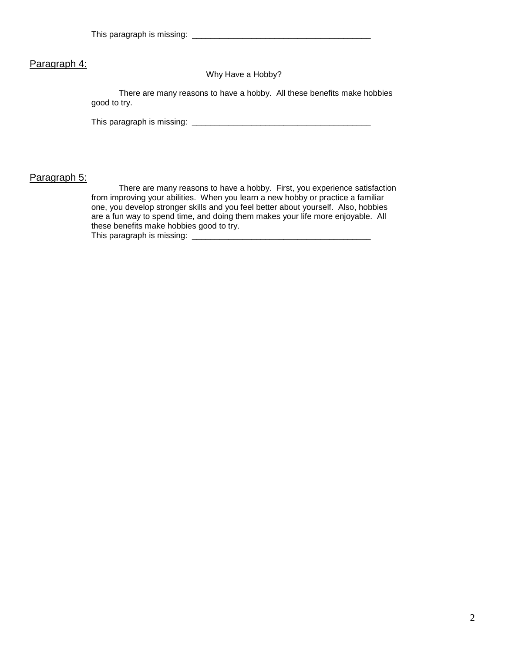#### Paragraph 4:

Why Have a Hobby?

There are many reasons to have a hobby. All these benefits make hobbies good to try.

This paragraph is missing: \_\_\_\_\_\_\_\_\_\_\_\_\_\_\_\_\_\_\_\_\_\_\_\_\_\_\_\_\_\_\_\_\_\_\_\_\_\_\_

#### Paragraph 5:

There are many reasons to have a hobby. First, you experience satisfaction from improving your abilities. When you learn a new hobby or practice a familiar one, you develop stronger skills and you feel better about yourself. Also, hobbies are a fun way to spend time, and doing them makes your life more enjoyable. All these benefits make hobbies good to try. This paragraph is missing: \_\_\_\_\_\_\_\_\_\_\_\_\_\_\_\_\_\_\_\_\_\_\_\_\_\_\_\_\_\_\_\_\_\_\_\_\_\_\_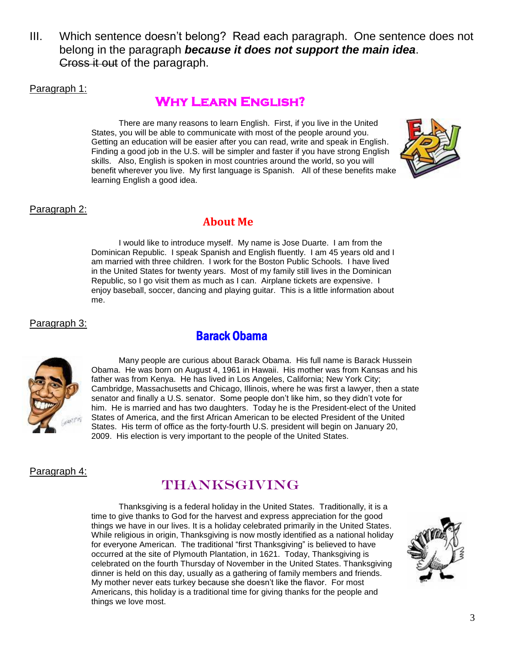III. Which sentence doesn't belong? Read each paragraph. One sentence does not belong in the paragraph *because it does not support the main idea*. Cross it out of the paragraph.

Paragraph 1:

#### **Why Learn English?**

There are many reasons to learn English. First, if you live in the United States, you will be able to communicate with most of the people around you. Getting an education will be easier after you can read, write and speak in English. Finding a good job in the U.S. will be simpler and faster if you have strong English skills. Also, English is spoken in most countries around the world, so you will benefit wherever you live. My first language is Spanish. All of these benefits make learning English a good idea.



#### Paragraph 2:

#### **About Me**

I would like to introduce myself. My name is Jose Duarte. I am from the Dominican Republic. I speak Spanish and English fluently. I am 45 years old and I am married with three children. I work for the Boston Public Schools. I have lived in the United States for twenty years. Most of my family still lives in the Dominican Republic, so I go visit them as much as I can. Airplane tickets are expensive. I enjoy baseball, soccer, dancing and playing guitar. This is a little information about me.

#### Paragraph 3:

#### Barack Obama



Many people are curious about Barack Obama. His full name is Barack Hussein Obama. He was born on August 4, 1961 in Hawaii. His mother was from Kansas and his father was from Kenya. He has lived in Los Angeles, California; New York City; Cambridge, Massachusetts and Chicago, Illinois, where he was first a lawyer, then a state senator and finally a U.S. senator. Some people don't like him, so they didn't vote for him. He is married and has two daughters. Today he is the [President-elect](http://en.wikipedia.org/wiki/President-elect_of_the_United_States) of the [United](http://en.wikipedia.org/wiki/United_States)  [States of America,](http://en.wikipedia.org/wiki/United_States) and the [first](http://en.wikipedia.org/wiki/List_of_African-American_firsts) [African American](http://en.wikipedia.org/wiki/African_American) to be elected [President of the United](http://en.wikipedia.org/wiki/President_of_the_United_States)  [States.](http://en.wikipedia.org/wiki/President_of_the_United_States) His term of office as the [forty-fourth](http://en.wikipedia.org/wiki/List_of_Presidents_of_the_United_States) U.S. president will begin on January 20, 2009. His election is very important to the people of the United States.

#### Paragraph 4:

#### Thanksgiving

Thanksgiving is a federal holiday in the United States. Traditionally, it is a time to give thanks to God for the harvest and express [appreciation](http://en.wikipedia.org/wiki/Gratitude) for the good things we have in our lives. It is a [holiday](http://en.wikipedia.org/wiki/Holiday) celebrated primarily in the [United States.](http://en.wikipedia.org/wiki/United_States) While religious in origin, Thanksgiving is now mostly identified as a national holiday for everyone American. The traditional "first Thanksgiving" is believed to have occurred at the site of [Plymouth Plantation,](http://en.wikipedia.org/wiki/Plymouth_Colony) in 1621. Today, Thanksgiving is celebrated on the fourth Thursday of November in the [United States.](http://en.wikipedia.org/wiki/United_States) [Thanksgiving](http://en.wikipedia.org/wiki/Thanksgiving_dinner)  [dinner](http://en.wikipedia.org/wiki/Thanksgiving_dinner) is held on this day, usually as a gathering of family members and friends. My mother never eats turkey because she doesn't like the flavor. For most Americans, this holiday is a traditional time for giving thanks for the people and things we love most.

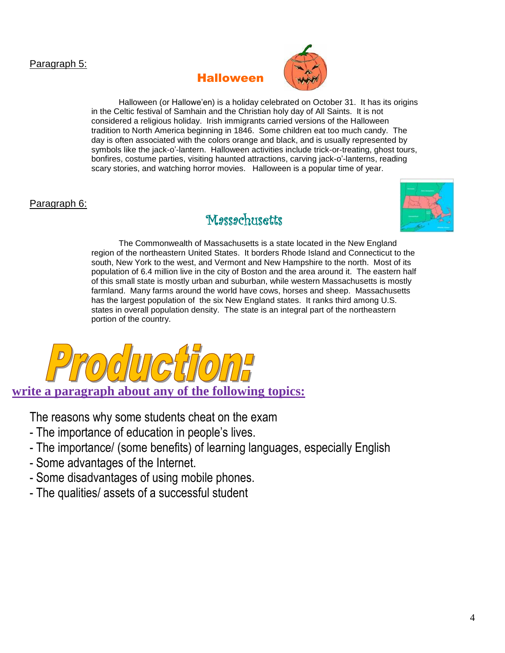#### Paragraph 5:

#### Halloween



Halloween (or Hallowe'en) is a [holiday](http://en.wikipedia.org/wiki/Holiday) celebrated on [October 31.](http://en.wikipedia.org/wiki/October_31) It has its origins in the Celtic festival of [Samhain](http://en.wikipedia.org/wiki/Samhain) and the [Christian](http://en.wikipedia.org/wiki/Christian) holy day of [All Saints.](http://en.wikipedia.org/wiki/All_Saints) It is not considered a religious holiday. Irish immigrants carried versions of the Halloween [tradition](http://en.wikipedia.org/wiki/Tradition) to [North America](http://en.wikipedia.org/wiki/North_America) beginning in 1846. Some children eat too much candy. The day is often associated with the colors orange and black, and is usually represented by symbols like the [jack-o'-lantern.](http://en.wikipedia.org/wiki/Jack-o%27-lantern) Halloween activities include [trick-or-treating,](http://en.wikipedia.org/wiki/Trick-or-treating) [ghost tours,](http://en.wikipedia.org/wiki/Ghost) [bonfires,](http://en.wikipedia.org/wiki/Bonfire) [costume parties,](http://en.wikipedia.org/wiki/Costume_party) visiting [haunted attractions,](http://en.wikipedia.org/wiki/Haunted_attraction) carving [jack-o'-lanterns,](http://en.wikipedia.org/wiki/Jack-o%27-lantern) reading scary stories, and watching [horror movies.](http://en.wikipedia.org/wiki/Horror_movie) Halloween is a popular time of year.

#### Paragraph 6:

#### Messechusetts



The Commonwealth of Massachusetts is a [state](http://en.wikipedia.org/wiki/U.S._state) located in the [New England](http://en.wikipedia.org/wiki/New_England) region of the [northeastern](http://en.wikipedia.org/wiki/Northeastern_United_States) [United States.](http://en.wikipedia.org/wiki/United_States) It borders [Rhode Island](http://en.wikipedia.org/wiki/Rhode_Island) and [Connecticut](http://en.wikipedia.org/wiki/Connecticut) to the south, New York to the west, and [Vermont](http://en.wikipedia.org/wiki/Vermont) and [New Hampshire](http://en.wikipedia.org/wiki/New_Hampshire) to the north. Most of its population of 6.4 million live in the city of [Boston and the area](http://en.wikipedia.org/wiki/Boston_metropolitan_area) around it. The eastern half of this small state is mostly [urban](http://en.wikipedia.org/wiki/Urban_area) and [suburban,](http://en.wikipedia.org/wiki/Suburban) while [western Massachusetts](http://en.wikipedia.org/wiki/Western_Massachusetts) is mostly farmland. Many farms around the world have cows, horses and sheep. Massachusetts has the largest population of the six New England states. It ranks third among U.S. states in overall [population density.](http://en.wikipedia.org/wiki/List_of_U.S._states_by_population_density) The state is an integral part of the northeastern portion of the country.



The reasons why some students cheat on the exam

- The importance of education in people's lives.
- The importance/ (some benefits) of learning languages, especially English
- Some advantages of the Internet.
- Some disadvantages of using mobile phones.
- The qualities/ assets of a successful student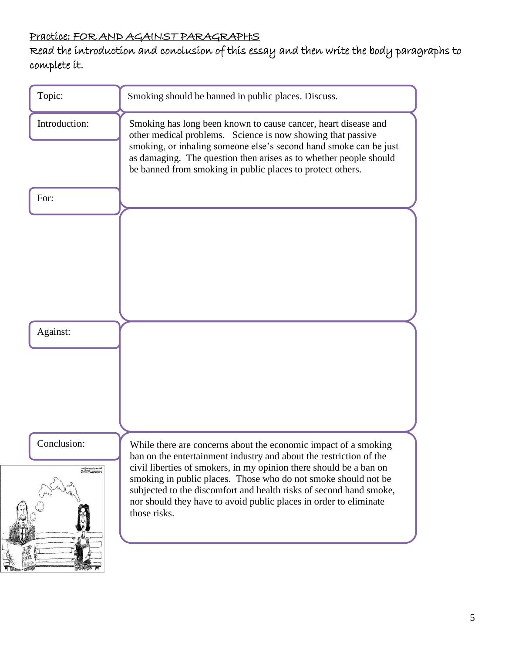#### Practice: FOR AND AGAINST PARAGRAPHS

#### Read the introduction and conclusion of this essay and then write the body paragraphs to complete it.

| Topic:                                                    | Smoking should be banned in public places. Discuss.<br>Smoking has long been known to cause cancer, heart disease and<br>other medical problems. Science is now showing that passive<br>smoking, or inhaling someone else's second hand smoke can be just<br>as damaging. The question then arises as to whether people should<br>be banned from smoking in public places to protect others.                                             |  |  |
|-----------------------------------------------------------|------------------------------------------------------------------------------------------------------------------------------------------------------------------------------------------------------------------------------------------------------------------------------------------------------------------------------------------------------------------------------------------------------------------------------------------|--|--|
| Introduction:                                             |                                                                                                                                                                                                                                                                                                                                                                                                                                          |  |  |
| For:                                                      |                                                                                                                                                                                                                                                                                                                                                                                                                                          |  |  |
|                                                           |                                                                                                                                                                                                                                                                                                                                                                                                                                          |  |  |
| Against:                                                  |                                                                                                                                                                                                                                                                                                                                                                                                                                          |  |  |
|                                                           |                                                                                                                                                                                                                                                                                                                                                                                                                                          |  |  |
| Conclusion:<br>ancélonai relos ancoes<br>GARY/Mapigageira | While there are concerns about the economic impact of a smoking<br>ban on the entertainment industry and about the restriction of the<br>civil liberties of smokers, in my opinion there should be a ban on<br>smoking in public places. Those who do not smoke should not be<br>subjected to the discomfort and health risks of second hand smoke,<br>nor should they have to avoid public places in order to eliminate<br>those risks. |  |  |
|                                                           |                                                                                                                                                                                                                                                                                                                                                                                                                                          |  |  |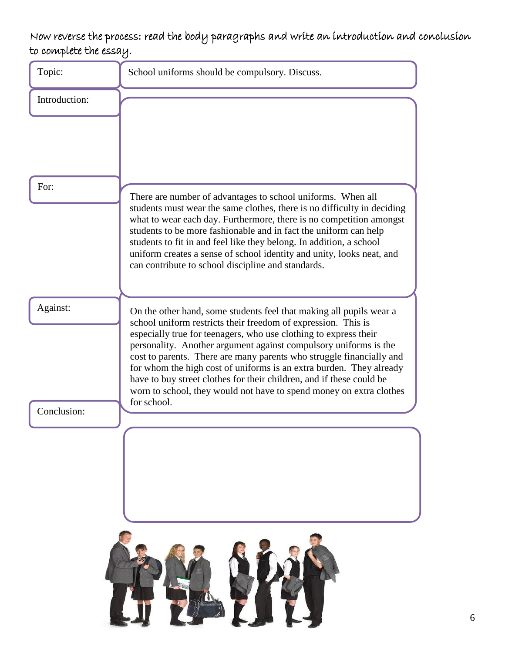#### Now reverse the process: read the body paragraphs and write an introduction and conclusion to complete the essay.

| Topic:        | School uniforms should be compulsory. Discuss.                                                                                                                                                                                                                                                                                                                                                                                                                                                                                                                             |  |  |
|---------------|----------------------------------------------------------------------------------------------------------------------------------------------------------------------------------------------------------------------------------------------------------------------------------------------------------------------------------------------------------------------------------------------------------------------------------------------------------------------------------------------------------------------------------------------------------------------------|--|--|
| Introduction: |                                                                                                                                                                                                                                                                                                                                                                                                                                                                                                                                                                            |  |  |
|               |                                                                                                                                                                                                                                                                                                                                                                                                                                                                                                                                                                            |  |  |
| For:          | There are number of advantages to school uniforms. When all<br>students must wear the same clothes, there is no difficulty in deciding<br>what to wear each day. Furthermore, there is no competition amongst<br>students to be more fashionable and in fact the uniform can help<br>students to fit in and feel like they belong. In addition, a school<br>uniform creates a sense of school identity and unity, looks neat, and<br>can contribute to school discipline and standards.                                                                                    |  |  |
| Against:      | On the other hand, some students feel that making all pupils wear a<br>school uniform restricts their freedom of expression. This is<br>especially true for teenagers, who use clothing to express their<br>personality. Another argument against compulsory uniforms is the<br>cost to parents. There are many parents who struggle financially and<br>for whom the high cost of uniforms is an extra burden. They already<br>have to buy street clothes for their children, and if these could be<br>worn to school, they would not have to spend money on extra clothes |  |  |
| Conclusion:   | for school.                                                                                                                                                                                                                                                                                                                                                                                                                                                                                                                                                                |  |  |
|               |                                                                                                                                                                                                                                                                                                                                                                                                                                                                                                                                                                            |  |  |
|               |                                                                                                                                                                                                                                                                                                                                                                                                                                                                                                                                                                            |  |  |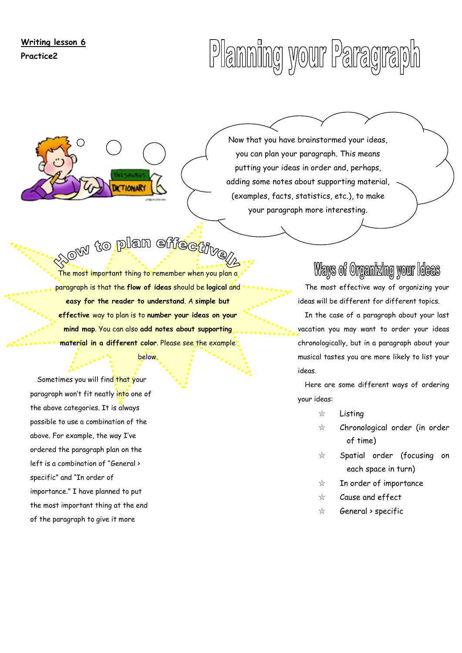**Writing lesson 6 Practice2**

# Planning your Paragraph

Now that you have brainstormed your ideas, you can plan your paragraph. This means putting your ideas in order and, perhaps, adding some notes about supporting material, (examples, facts, statistics, etc.), to make your paragraph more interesting.

## **And to plan effective**

The most important thing to remember when you plan a paragraph is that the **flow of ideas** should be **logical** and **easy for the reader to understand**. A **simple but effective** way to plan is to **number your ideas on your mind map**. You can also **add notes about supporting material in a different color**. Please see the example

below.

Sometimes you will find that your paragraph won't fit neatly into one of the above categories. It is always possible to use a combination of the above. For example, the way I've ordered the paragraph plan on the left is a combination of "General > specific" and "In order of importance." I have planned to put the most important thing at the end of the paragraph to give it more

### Ways of Organizing your Ideas

The most effective way of organizing your ideas will be different for different topics.

In the case of a paragraph about your last vacation you may want to order your ideas chronologically, but in a paragraph about your musical tastes you are more likely to list your ideas.

Here are some different ways of ordering your ideas:

- ☆ Listing
- ☆ Chronological order (in order of time)
- ☆ Spatial order (focusing on each space in turn)
- ☆ In order of importance
- ☆ Cause and effect
- ☆ General > specific